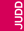





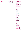**Supporters Supporters Judd Foundation is thankful** to our generous supporters who donated between July 1st, 2017 and June 30th, 2018

## Government and Foundations

Ballroom Marfa The Brant Foundation, Inc. Brooklyn Community Foundation The Brown Foundation, Inc. City of Marfa Kirkpatrick Family Fund National Endowment for the Arts New York City Council Member Margaret Chin New York City Department of Cultural Affairs Texas Commission on the Arts

## **Corporate**

40North Aesop Agave Festival Alpha Masonry The Architect's Newspaper Big Bend Sentinel Casa Dragones Castelli Gallery Crowley Theater The Cultivist Emeco The Future Perfect Galería Elvira González Google **Henrybuilt** Hermès ICA Miami Marfa Book Company Marfa Public Radio Mignoni Gallery Mohawk Papers Monopolio Morris Kitchen Never Stop Learning, LLC Newark Museum Association Perrier Galerie Thaddaeus Ropac Select Equity Group Sotheby's The Standard Hotel Stella Artois Tomas Maier, LLC Topo Chico David Zwirner Gallery

## Patrons

Laurence Bass Robert Beyer and Loren Pack Suzanne Deal Booth Bob Bronstein Spencer Brownstone Alexandre and Lori Chemla Chris and Cecile d'Amelio Suzi Davidoff and Carl Ryan Dudley and Michael Del Balso Fairfax Dorn and Marc Glimcher Jack Dorsey Susan and Thomas Dunn Tracey Emin Anne-Cecilie Engell and Rob Speyer